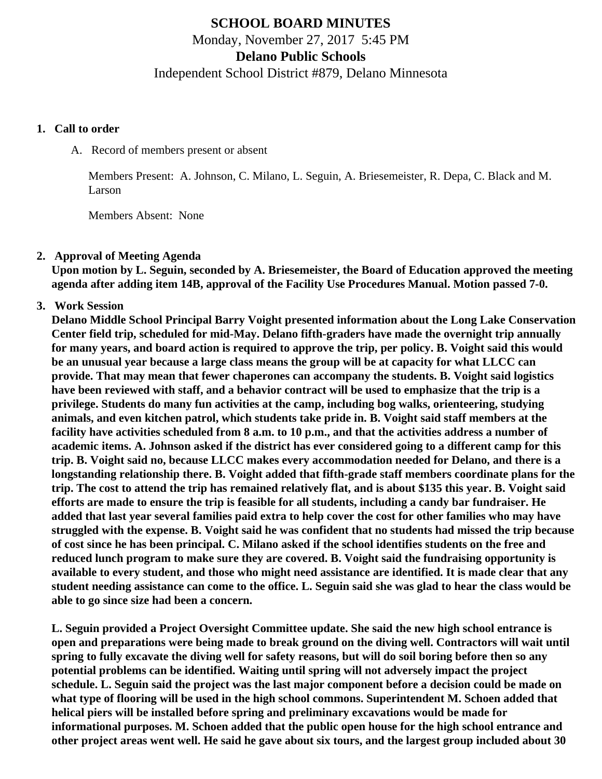# **SCHOOL BOARD MINUTES** Monday, November 27, 2017 5:45 PM

### **Delano Public Schools**

Independent School District #879, Delano Minnesota

#### **1. Call to order**

A. Record of members present or absent

Members Present: A. Johnson, C. Milano, L. Seguin, A. Briesemeister, R. Depa, C. Black and M. Larson

Members Absent: None

#### **2. Approval of Meeting Agenda**

**Upon motion by L. Seguin, seconded by A. Briesemeister, the Board of Education approved the meeting agenda after adding item 14B, approval of the Facility Use Procedures Manual. Motion passed 7-0.** 

## **3. Work Session**

**Delano Middle School Principal Barry Voight presented information about the Long Lake Conservation Center field trip, scheduled for mid-May. Delano fifth-graders have made the overnight trip annually for many years, and board action is required to approve the trip, per policy. B. Voight said this would be an unusual year because a large class means the group will be at capacity for what LLCC can provide. That may mean that fewer chaperones can accompany the students. B. Voight said logistics have been reviewed with staff, and a behavior contract will be used to emphasize that the trip is a privilege. Students do many fun activities at the camp, including bog walks, orienteering, studying animals, and even kitchen patrol, which students take pride in. B. Voight said staff members at the facility have activities scheduled from 8 a.m. to 10 p.m., and that the activities address a number of academic items. A. Johnson asked if the district has ever considered going to a different camp for this trip. B. Voight said no, because LLCC makes every accommodation needed for Delano, and there is a longstanding relationship there. B. Voight added that fifth-grade staff members coordinate plans for the trip. The cost to attend the trip has remained relatively flat, and is about \$135 this year. B. Voight said efforts are made to ensure the trip is feasible for all students, including a candy bar fundraiser. He added that last year several families paid extra to help cover the cost for other families who may have struggled with the expense. B. Voight said he was confident that no students had missed the trip because of cost since he has been principal. C. Milano asked if the school identifies students on the free and reduced lunch program to make sure they are covered. B. Voight said the fundraising opportunity is available to every student, and those who might need assistance are identified. It is made clear that any student needing assistance can come to the office. L. Seguin said she was glad to hear the class would be able to go since size had been a concern.**

**L. Seguin provided a Project Oversight Committee update. She said the new high school entrance is open and preparations were being made to break ground on the diving well. Contractors will wait until spring to fully excavate the diving well for safety reasons, but will do soil boring before then so any potential problems can be identified. Waiting until spring will not adversely impact the project schedule. L. Seguin said the project was the last major component before a decision could be made on what type of flooring will be used in the high school commons. Superintendent M. Schoen added that helical piers will be installed before spring and preliminary excavations would be made for informational purposes. M. Schoen added that the public open house for the high school entrance and other project areas went well. He said he gave about six tours, and the largest group included about 30**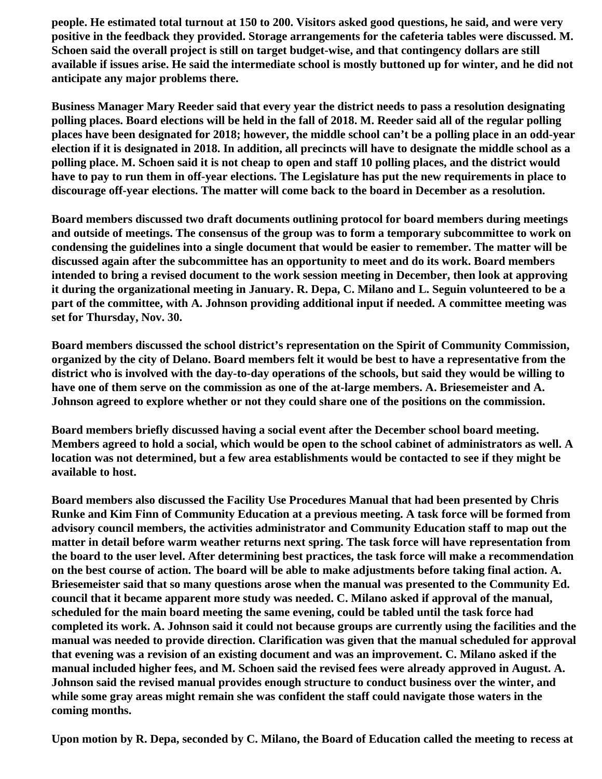**people. He estimated total turnout at 150 to 200. Visitors asked good questions, he said, and were very positive in the feedback they provided. Storage arrangements for the cafeteria tables were discussed. M. Schoen said the overall project is still on target budget-wise, and that contingency dollars are still available if issues arise. He said the intermediate school is mostly buttoned up for winter, and he did not anticipate any major problems there.**

**Business Manager Mary Reeder said that every year the district needs to pass a resolution designating polling places. Board elections will be held in the fall of 2018. M. Reeder said all of the regular polling places have been designated for 2018; however, the middle school can't be a polling place in an odd-year election if it is designated in 2018. In addition, all precincts will have to designate the middle school as a polling place. M. Schoen said it is not cheap to open and staff 10 polling places, and the district would have to pay to run them in off-year elections. The Legislature has put the new requirements in place to discourage off-year elections. The matter will come back to the board in December as a resolution.**

**Board members discussed two draft documents outlining protocol for board members during meetings and outside of meetings. The consensus of the group was to form a temporary subcommittee to work on condensing the guidelines into a single document that would be easier to remember. The matter will be discussed again after the subcommittee has an opportunity to meet and do its work. Board members intended to bring a revised document to the work session meeting in December, then look at approving it during the organizational meeting in January. R. Depa, C. Milano and L. Seguin volunteered to be a part of the committee, with A. Johnson providing additional input if needed. A committee meeting was set for Thursday, Nov. 30.**

**Board members discussed the school district's representation on the Spirit of Community Commission, organized by the city of Delano. Board members felt it would be best to have a representative from the district who is involved with the day-to-day operations of the schools, but said they would be willing to have one of them serve on the commission as one of the at-large members. A. Briesemeister and A. Johnson agreed to explore whether or not they could share one of the positions on the commission.**

**Board members briefly discussed having a social event after the December school board meeting. Members agreed to hold a social, which would be open to the school cabinet of administrators as well. A location was not determined, but a few area establishments would be contacted to see if they might be available to host.**

**Board members also discussed the Facility Use Procedures Manual that had been presented by Chris Runke and Kim Finn of Community Education at a previous meeting. A task force will be formed from advisory council members, the activities administrator and Community Education staff to map out the matter in detail before warm weather returns next spring. The task force will have representation from the board to the user level. After determining best practices, the task force will make a recommendation on the best course of action. The board will be able to make adjustments before taking final action. A. Briesemeister said that so many questions arose when the manual was presented to the Community Ed. council that it became apparent more study was needed. C. Milano asked if approval of the manual, scheduled for the main board meeting the same evening, could be tabled until the task force had completed its work. A. Johnson said it could not because groups are currently using the facilities and the manual was needed to provide direction. Clarification was given that the manual scheduled for approval that evening was a revision of an existing document and was an improvement. C. Milano asked if the manual included higher fees, and M. Schoen said the revised fees were already approved in August. A. Johnson said the revised manual provides enough structure to conduct business over the winter, and while some gray areas might remain she was confident the staff could navigate those waters in the coming months.**

**Upon motion by R. Depa, seconded by C. Milano, the Board of Education called the meeting to recess at**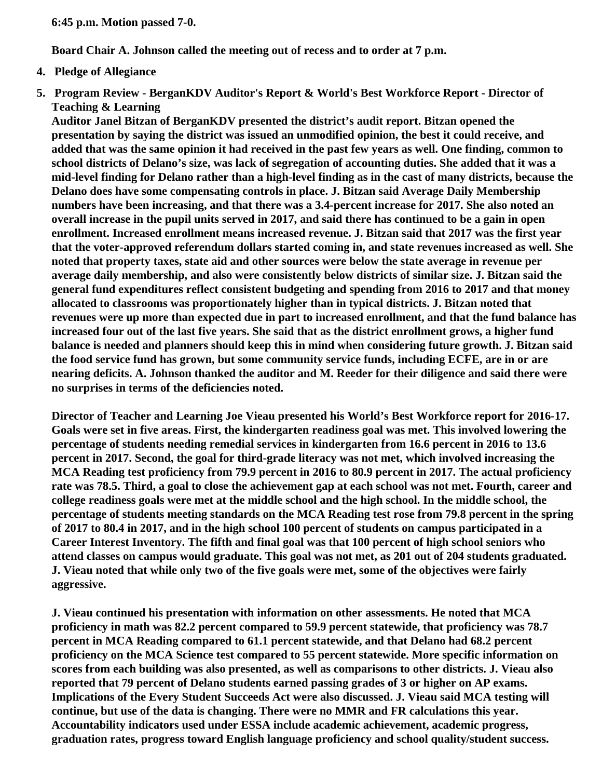**6:45 p.m. Motion passed 7-0.**

**Board Chair A. Johnson called the meeting out of recess and to order at 7 p.m.**

- **4. Pledge of Allegiance**
- **5. Program Review BerganKDV Auditor's Report & World's Best Workforce Report Director of Teaching & Learning**

**Auditor Janel Bitzan of BerganKDV presented the district's audit report. Bitzan opened the presentation by saying the district was issued an unmodified opinion, the best it could receive, and added that was the same opinion it had received in the past few years as well. One finding, common to school districts of Delano's size, was lack of segregation of accounting duties. She added that it was a mid-level finding for Delano rather than a high-level finding as in the cast of many districts, because the Delano does have some compensating controls in place. J. Bitzan said Average Daily Membership numbers have been increasing, and that there was a 3.4-percent increase for 2017. She also noted an overall increase in the pupil units served in 2017, and said there has continued to be a gain in open enrollment. Increased enrollment means increased revenue. J. Bitzan said that 2017 was the first year that the voter-approved referendum dollars started coming in, and state revenues increased as well. She noted that property taxes, state aid and other sources were below the state average in revenue per average daily membership, and also were consistently below districts of similar size. J. Bitzan said the general fund expenditures reflect consistent budgeting and spending from 2016 to 2017 and that money allocated to classrooms was proportionately higher than in typical districts. J. Bitzan noted that revenues were up more than expected due in part to increased enrollment, and that the fund balance has increased four out of the last five years. She said that as the district enrollment grows, a higher fund balance is needed and planners should keep this in mind when considering future growth. J. Bitzan said the food service fund has grown, but some community service funds, including ECFE, are in or are nearing deficits. A. Johnson thanked the auditor and M. Reeder for their diligence and said there were no surprises in terms of the deficiencies noted.**

**Director of Teacher and Learning Joe Vieau presented his World's Best Workforce report for 2016-17. Goals were set in five areas. First, the kindergarten readiness goal was met. This involved lowering the percentage of students needing remedial services in kindergarten from 16.6 percent in 2016 to 13.6 percent in 2017. Second, the goal for third-grade literacy was not met, which involved increasing the MCA Reading test proficiency from 79.9 percent in 2016 to 80.9 percent in 2017. The actual proficiency rate was 78.5. Third, a goal to close the achievement gap at each school was not met. Fourth, career and college readiness goals were met at the middle school and the high school. In the middle school, the percentage of students meeting standards on the MCA Reading test rose from 79.8 percent in the spring of 2017 to 80.4 in 2017, and in the high school 100 percent of students on campus participated in a Career Interest Inventory. The fifth and final goal was that 100 percent of high school seniors who attend classes on campus would graduate. This goal was not met, as 201 out of 204 students graduated. J. Vieau noted that while only two of the five goals were met, some of the objectives were fairly aggressive.**

**J. Vieau continued his presentation with information on other assessments. He noted that MCA proficiency in math was 82.2 percent compared to 59.9 percent statewide, that proficiency was 78.7 percent in MCA Reading compared to 61.1 percent statewide, and that Delano had 68.2 percent proficiency on the MCA Science test compared to 55 percent statewide. More specific information on scores from each building was also presented, as well as comparisons to other districts. J. Vieau also reported that 79 percent of Delano students earned passing grades of 3 or higher on AP exams. Implications of the Every Student Succeeds Act were also discussed. J. Vieau said MCA testing will continue, but use of the data is changing. There were no MMR and FR calculations this year. Accountability indicators used under ESSA include academic achievement, academic progress, graduation rates, progress toward English language proficiency and school quality/student success.**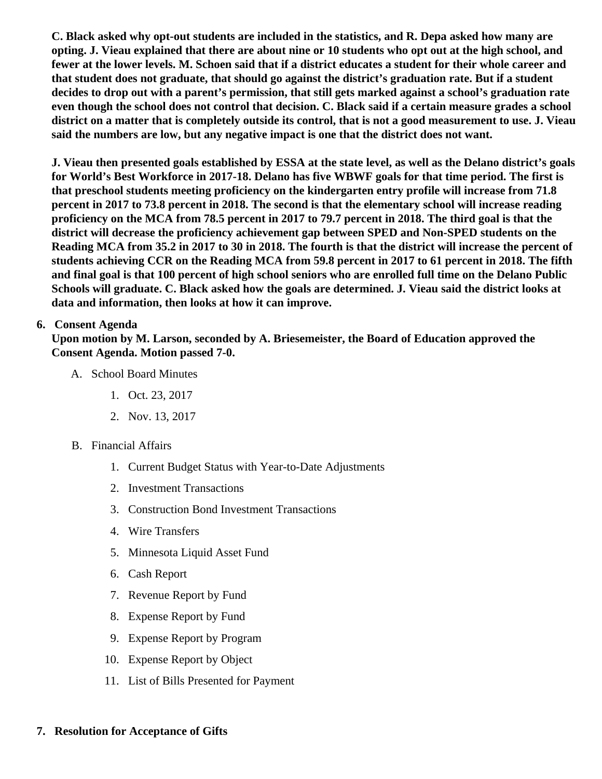C. Black asked why opt-out students are included in the statistics, and R. Depa asked how many are opting. J. Vieau explained that there are about nine or 10 students who opt out at the high school, and fewer at the lower levels. M. Schoen said that if a district educates a student for their whole career and that student does not graduate, that should go against the district's graduation rate. But if a student decides to drop out with a parent's permission, that still gets marked against a school's graduation rate even though the school does not control that decision. C. Black said if a certain measure grades a school district on a matter that is completely outside its control, that is not a good measurement to use. J. Vieau said the numbers are low, but any negative impact is one that the district does not want.

J. Vieau then presented goals established by ESSA at the state level, as well as the Delano distgotis for World's Best Workforce in 2017-18. Delano has five WBWF goals for that time period. The first is that preschool students meeting proficiency on the kindergarten entry profile will increase from 71.8 percent in 2017 to 73.8 percent in 2018. The second is that the elementary school will increase reading proficiency on the MCA from 78.5 percent in 2017 to 79.7 percent in 2018. The third goal is that the district will decrease the proficiency achievement gap between SPED and Non-SPED students on the Reading MCA from 35.2 in 2017 to 30 in 2018. The fourth is that the district will increase the percent of students achieving CCR on the Reading MCA from 59.8 percent in 2017 to 61 percent in 2018. The fifth and final goal is that 100 percent of high school seniors who are enrolled full time on the Delano Public Schools will graduate. C. Black asked how the goals are determined. J. Vieau said the district looks at data and information, then looks at how it can improve.

# 6. Consent Agenda

Upon motion by M. Larson, seconded by A. Briesemeister, the Board of Education approved the Consent Agenda. Motion passed 7-0.

- A. School Board Minutes
	- 1. [Oct. 23, 2017](http://www.delano.k12.mn.us/pb/app/agenda/minutes/163)
	- 2. [Nov. 13, 2017](http://www.delano.k12.mn.us/docs/district/2017_18/School_Board_Items/November_2017/November_Retreat.pdf)
- B. Financial Affairs
	- 1. [Current Budget Status with Year-to-Date Adjustm](/docs/district/Business_Office/FY18_Budget_Report_Nov.pdf)ents
	- 2. [Investment Transactio](/docs/district/Business_Office/October_2017_Investment_Schedule.pdf)ns
	- 3. [Construction Bond Investment Transacti](/docs/district/Business_Office/Bond_Investment_schedule_Oct_17.pdf)ons
	- 4. [Wire Transfer](/docs/district/Business_Office/October_2017_Wire_Transfer.pdf)s
	- 5. [Minnesota Liquid Asset Fun](/docs/district/Business_Office/October_2017_LAF.pdf)d
	- 6. [Cash Repo](/docs/district/Business_Office/October_2017_Cash_Report.pdf)rt
	- 7. [Revenue Report by Fu](/docs/district/Business_Office/SCHOOL_BOARD_REPORTS_-_REVENUE_BY_FUND_TOTAL__(Date__6_2018).pdf)nd
	- 8. [Expense Report by Fu](/docs/district/Business_Office/SCHOOL_BOARD_REPORTS_-_EXP_BY_FUND_TOTAL__(Date__6_2018).pdf)nd
	- 9. [Expense Report by Progra](/docs/district/Business_Office/SCHOOL_BOARD_REPORTS_-_EXPENDITURES_BY_PROGRAM__(Date__6_2018).pdf)m
	- 10. [Expense Report by Obje](/docs/district/Business_Office/SCHOOL_BOARD_REPORTS_-_EXPENDITURES_BY_OBJECT__(Date__6_2018).pdf)ct
	- 11. [List of Bills Presented for Payme](/docs/district/Business_Office/DETAIL_OF_MONTHLY_BILLS_PRESENTED_FOR_PAYMENT_(Dates__10_01_17_-_11_22_17).pdf)nt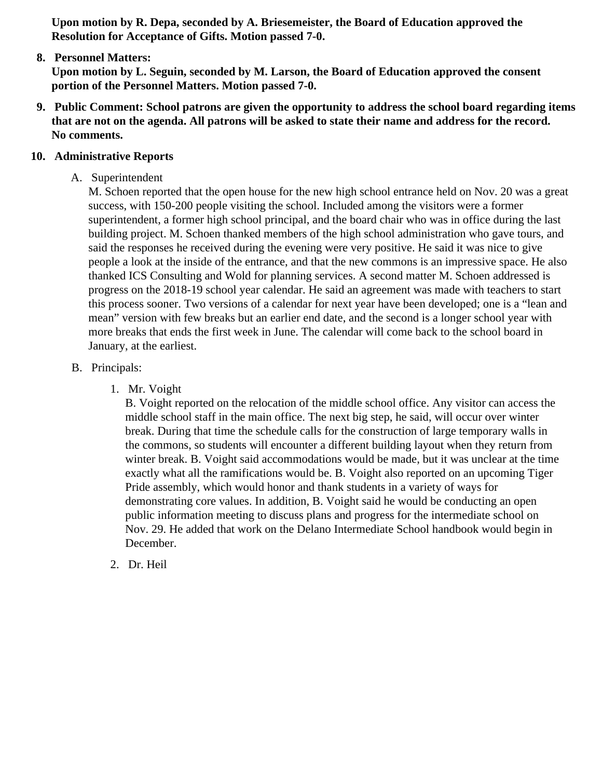Upon motion by R. Depa, seconded by A. Briesemeister, the Board of Education approved the Resolution for Acceptance of Gifts. Motion passed 7-0.

8. [Personnel Matters:](/docs/district/Business_Office/11.27.17_Personnel.pdf)

Upon motion by L. Seguin, seconded by M. Larson, the Board of Education approved the consent portion of the Personnel Matters. Motion passed 7-0.

- 9. Public Comment: School patrons are given the opportunity to address the school board regarding items that are not on the agenda. All patrons will be asked to state their name and address for the record. No comments.
- 10. Administrative Reports
	- A. Superintendent

M. Schoen reported that the open house for the new high school entrance held on Nov. 20 was a g success, with 150-200 people visiting the school. Included among the visitors were a former superintendent, a former high school principal, and the board chair who was in office during the last building project. M. Schoen thanked members of the high school administration who gave tours, are said the responses he received during the evening were very positive. He said it was nice to give people a look at the inside of the entrance, and that the new commons is an impressive space. He thanked ICS Consulting and Wold for planning services. A second matter M. Schoen addressed is progress on the 2018-19 school year calendar. He said an agreement was made with teachers to started this process sooner. Two versions of a calendar for next year have been developed; one is a "lean mean" version with few breaks but an earlier end date, and the second is a longer school year with more breaks that ends the first week in June. The calendar will come back to the school board in January, at the earliest.

- B. Principals:
	- 1. Mr. Voight

B. Voight reported on the relocation of the middle school office. Any visitor can access the middle school staff in the main office. The next big step, he said, will occur over winter break. During that time the schedule calls for the construction of large temporary walls in the commons, so students will encounter a different building layout when they return from winter break. B. Voight said accommodations would be made, but it was unclear at the time exactly what all the ramifications would be. B. Voight also reported on an upcoming Tiger Pride assembly, which would honor and thank students in a variety of ways for demonstrating core values. In addition, B. Voight said he would be conducting an open public information meeting to discuss plans and progress for the intermediate school on Nov. 29. He added that work on the Delano Intermediate School handbook would begin in December.

2. Dr. Heil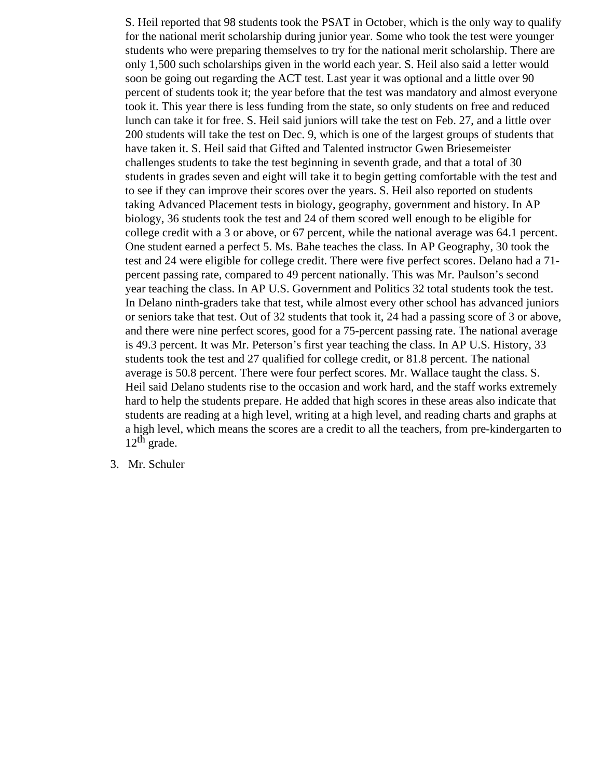S. Heil reported that 98 students took the PSAT in October, which is the only way to qualify for the national merit scholarship during junior year. Some who took the test were younger students who were preparing themselves to try for the national merit scholarship. There are only 1,500 such scholarships given in the world each year. S. Heil also said a letter would soon be going out regarding the ACT test. Last year it was optional and a little over 90 percent of students took it; the year before that the test was mandatory and almost everyone took it. This year there is less funding from the state, so only students on free and reduced lunch can take it for free. S. Heil said juniors will take the test on Feb. 27, and a little over 200 students will take the test on Dec. 9, which is one of the largest groups of students that have taken it. S. Heil said that Gifted and Talented instructor Gwen Briesemeister challenges students to take the test beginning in seventh grade, and that a total of 30 students in grades seven and eight will take it to begin getting comfortable with the test and to see if they can improve their scores over the years. S. Heil also reported on students taking Advanced Placement tests in biology, geography, government and history. In AP biology, 36 students took the test and 24 of them scored well enough to be eligible for college credit with a 3 or above, or 67 percent, while the national average was 64.1 percent. One student earned a perfect 5. Ms. Bahe teaches the class. In AP Geography, 30 took the test and 24 were eligible for college credit. There were five perfect scores. Delano had a 71 percent passing rate, compared to 49 percent nationally. This was Mr. Paulson's second year teaching the class. In AP U.S. Government and Politics 32 total students took the test. In Delano ninth-graders take that test, while almost every other school has advanced juniors or seniors take that test. Out of 32 students that took it, 24 had a passing score of 3 or above, and there were nine perfect scores, good for a 75-percent passing rate. The national average is 49.3 percent. It was Mr. Peterson's first year teaching the class. In AP U.S. History, 33 students took the test and 27 qualified for college credit, or 81.8 percent. The national average is 50.8 percent. There were four perfect scores. Mr. Wallace taught the class. S. Heil said Delano students rise to the occasion and work hard, and the staff works extremely hard to help the students prepare. He added that high scores in these areas also indicate that students are reading at a high level, writing at a high level, and reading charts and graphs at a high level, which means the scores are a credit to all the teachers, from pre-kindergarten to  $12<sup>th</sup>$  grade.

3. Mr. Schuler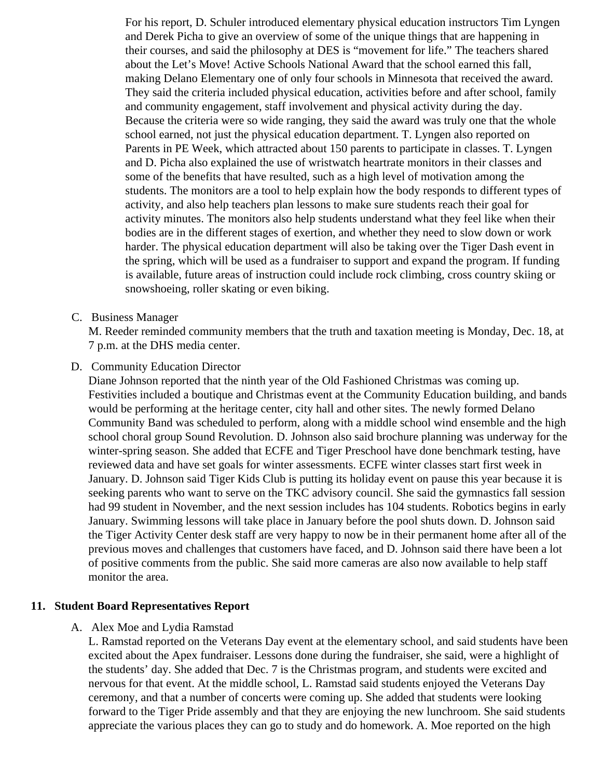For his report, D. Schuler introduced elementary physical education instructors Tim Lyngen and Derek Picha to give an overview of some of the unique things that are happening in their courses, and said the philosophy at DES is "movement for life." The teachers shared about the Let's Move! Active Schools National Award that the school earned this fall, making Delano Elementary one of only four schools in Minnesota that received the award. They said the criteria included physical education, activities before and after school, family and community engagement, staff involvement and physical activity during the day. Because the criteria were so wide ranging, they said the award was truly one that the whole school earned, not just the physical education department. T. Lyngen also reported on Parents in PE Week, which attracted about 150 parents to participate in classes. T. Lyngen and D. Picha also explained the use of wristwatch heartrate monitors in their classes and some of the benefits that have resulted, such as a high level of motivation among the students. The monitors are a tool to help explain how the body responds to different types of activity, and also help teachers plan lessons to make sure students reach their goal for activity minutes. The monitors also help students understand what they feel like when their bodies are in the different stages of exertion, and whether they need to slow down or work harder. The physical education department will also be taking over the Tiger Dash event in the spring, which will be used as a fundraiser to support and expand the program. If funding is available, future areas of instruction could include rock climbing, cross country skiing or snowshoeing, roller skating or even biking.

C. Business Manager

M. Reeder reminded community members that the truth and taxation meeting is Monday, Dec. 18, at 7 p.m. at the DHS media center.

D. Community Education Director

Diane Johnson reported that the ninth year of the Old Fashioned Christmas was coming up. Festivities included a boutique and Christmas event at the Community Education building, and bands would be performing at the heritage center, city hall and other sites. The newly formed Delano Community Band was scheduled to perform, along with a middle school wind ensemble and the high school choral group Sound Revolution. D. Johnson also said brochure planning was underway for the winter-spring season. She added that ECFE and Tiger Preschool have done benchmark testing, have reviewed data and have set goals for winter assessments. ECFE winter classes start first week in January. D. Johnson said Tiger Kids Club is putting its holiday event on pause this year because it is seeking parents who want to serve on the TKC advisory council. She said the gymnastics fall session had 99 student in November, and the next session includes has 104 students. Robotics begins in early January. Swimming lessons will take place in January before the pool shuts down. D. Johnson said the Tiger Activity Center desk staff are very happy to now be in their permanent home after all of the previous moves and challenges that customers have faced, and D. Johnson said there have been a lot of positive comments from the public. She said more cameras are also now available to help staff monitor the area.

#### **11. Student Board Representatives Report**

A. Alex Moe and Lydia Ramstad

L. Ramstad reported on the Veterans Day event at the elementary school, and said students have been excited about the Apex fundraiser. Lessons done during the fundraiser, she said, were a highlight of the students' day. She added that Dec. 7 is the Christmas program, and students were excited and nervous for that event. At the middle school, L. Ramstad said students enjoyed the Veterans Day ceremony, and that a number of concerts were coming up. She added that students were looking forward to the Tiger Pride assembly and that they are enjoying the new lunchroom. She said students appreciate the various places they can go to study and do homework. A. Moe reported on the high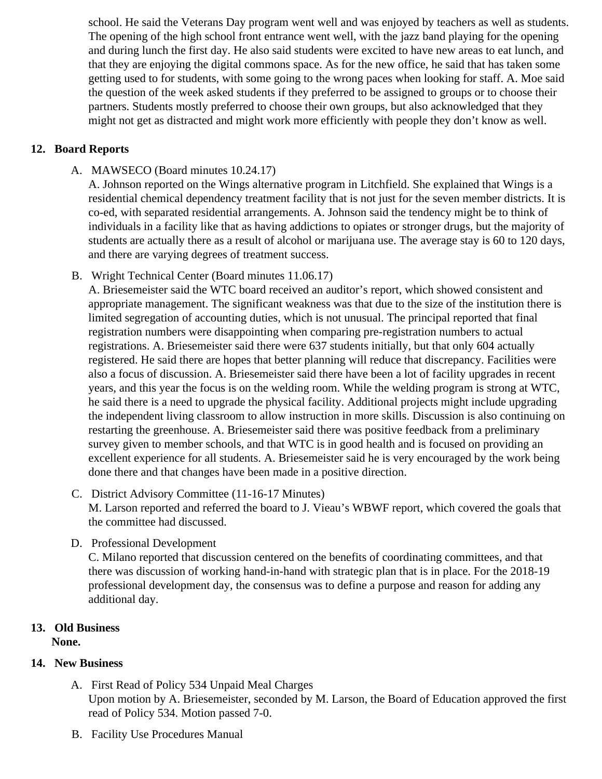school. He said the Veterans Day program went well and was enjoyed by teachers as well as stude The opening of the high school front entrance went well, with the jazz band playing for the opening and during lunch the first day. He also said students were excited to have new areas to eat lunch, and that they are enjoying the digital commons space. As for the new office, he said that has taken some getting used to for students, with some going to the wrong paces when looking for staff. A. Moe said the question of the week asked students if they preferred to be assigned to groups or to choose the partners. Students mostly preferred to choose their own groups, but also acknowledged that they might not get as distracted and might work more efficiently with people they don't know as well.

### 12. Board Reports

A. MAWSECO [\(Board minutes 10.24.1](/docs/district/2017_18/School_Board_Items/November_2017/10.24.2017_MAWSECO_minutes.pdf)7)

A. Johnson reported on the Wings alternative program in Litchfield. She explained that Wings is a residential chemical dependency treatment facility that is not just for the seven member districts. It co-ed, with separated residential arrangements. A. Johnson said the tendency might be to think of individuals in a facility like that as having addictions to opiates or stronger drugs, but the majority of students are actually there as a result of alcohol or marijuana use. The average stay is 60 to 120 d and there are varying degrees of treatment success.

B. Wright Technical Center Board minutes 11.06.17

A. Briesemeister said the WTC board received an auditor's report, which showed consistent and appropriate management. The significant weakness was that due to the size of the institution there limited segregation of accounting duties, which is not unusual. The principal reported that final registration numbers were disappointing when comparing pre-registration numbers to actual registrations. A. Briesemeister said there were 637 students initially, but that only 604 actually registered. He said there are hopes that better planning will reduce that discrepancy. Facilities wer also a focus of discussion. A. Briesemeister said there have been a lot of facility upgrades in recent years, and this year the focus is on the welding room. While the welding program is strong at WTC, he said there is a need to upgrade the physical facility. Additional projects might include upgrading the independent living classroom to allow instruction in more skills. Discussion is also continuing on restarting the greenhouse. A. Briesemeister said there was positive feedback from a preliminary survey given to member schools, and that WTC is in good health and is focused on providing an excellent experience for all students. A. Briesemeister said he is very encouraged by the work bein done there and that changes have been made in a positive direction.

- C. District Advisory Committee (11-16-1Minutes) M. Larson reported and referred the board to J. Vieau's WBWF report, which covered the goals that the committee had discussed.
- D. Professional Development

C. Milano reported that discussion centered on the benefits of coordinating committees, and that there was discussion of working hand-in-hand with strategic plan that is in place. For the 2018-19 professional development day, the consensus was to define a purpose and reason for adding any additional day.

- 13. Old Business None.
- 14. New Business
	- A. First Read oPolicy 534 Unpaid Meal Charges Upon motion by A. Briesemeister, seconded by M. Larson, the Board of Education approved the fir read of Policy 534. Motion passed 7-0.
	- B. Facility Use Procedure Sanual